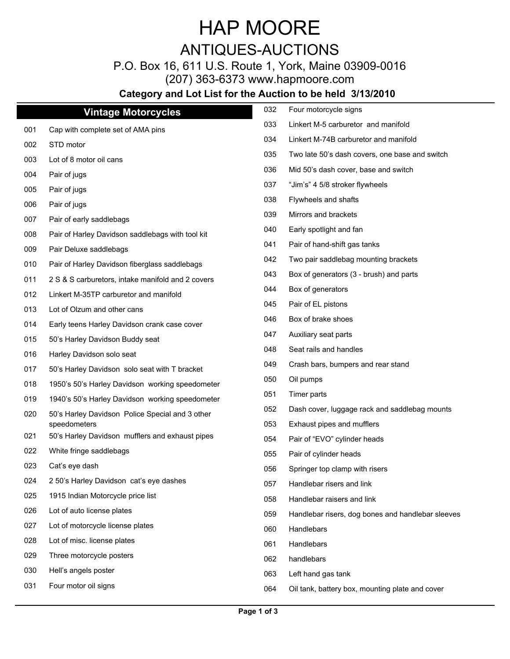## HAP MOORE

### ANTIQUES-AUCTIONS

P.O. Box 16, 611 U.S. Route 1, York, Maine 03909-0016

(207) 363-6373 www.hapmoore.com

#### **Category and Lot List for the Auction to be held 3/13/2010**

|     | <b>Vintage Motorcycles</b>                                      | 032 | Four motorcycle signs                             |
|-----|-----------------------------------------------------------------|-----|---------------------------------------------------|
| 001 | Cap with complete set of AMA pins                               | 033 | Linkert M-5 carburetor and manifold               |
| 002 | STD motor                                                       | 034 | Linkert M-74B carburetor and manifold             |
| 003 | Lot of 8 motor oil cans                                         | 035 | Two late 50's dash covers, one base and switch    |
| 004 | Pair of jugs                                                    | 036 | Mid 50's dash cover, base and switch              |
| 005 | Pair of jugs                                                    | 037 | "Jim's" 4 5/8 stroker flywheels                   |
| 006 | Pair of jugs                                                    | 038 | Flywheels and shafts                              |
| 007 | Pair of early saddlebags                                        | 039 | Mirrors and brackets                              |
| 008 | Pair of Harley Davidson saddlebags with tool kit                | 040 | Early spotlight and fan                           |
| 009 | Pair Deluxe saddlebags                                          | 041 | Pair of hand-shift gas tanks                      |
| 010 | Pair of Harley Davidson fiberglass saddlebags                   | 042 | Two pair saddlebag mounting brackets              |
| 011 | 2 S & S carburetors, intake manifold and 2 covers               | 043 | Box of generators (3 - brush) and parts           |
| 012 | Linkert M-35TP carburetor and manifold                          | 044 | Box of generators                                 |
| 013 | Lot of Olzum and other cans                                     | 045 | Pair of EL pistons                                |
| 014 | Early teens Harley Davidson crank case cover                    | 046 | Box of brake shoes                                |
| 015 | 50's Harley Davidson Buddy seat                                 | 047 | Auxiliary seat parts                              |
| 016 | Harley Davidson solo seat                                       | 048 | Seat rails and handles                            |
|     |                                                                 | 049 | Crash bars, bumpers and rear stand                |
| 017 | 50's Harley Davidson solo seat with T bracket                   | 050 | Oil pumps                                         |
| 018 | 1950's 50's Harley Davidson working speedometer                 | 051 | Timer parts                                       |
| 019 | 1940's 50's Harley Davidson working speedometer                 | 052 | Dash cover, luggage rack and saddlebag mounts     |
| 020 | 50's Harley Davidson Police Special and 3 other<br>speedometers | 053 | Exhaust pipes and mufflers                        |
| 021 | 50's Harley Davidson mufflers and exhaust pipes                 | 054 | Pair of "EVO" cylinder heads                      |
| 022 | White fringe saddlebags                                         | 055 | Pair of cylinder heads                            |
| 023 | Cat's eye dash                                                  | 056 | Springer top clamp with risers                    |
| 024 | 2 50's Harley Davidson cat's eye dashes                         | 057 | Handlebar risers and link                         |
| 025 | 1915 Indian Motorcycle price list                               | 058 | Handlebar raisers and link                        |
| 026 | Lot of auto license plates                                      | 059 | Handlebar risers, dog bones and handlebar sleeves |
| 027 | Lot of motorcycle license plates                                | 060 | Handlebars                                        |
| 028 | Lot of misc. license plates                                     | 061 | Handlebars                                        |
| 029 | Three motorcycle posters                                        | 062 | handlebars                                        |
| 030 | Hell's angels poster                                            | 063 | Left hand gas tank                                |
| 031 | Four motor oil signs                                            |     |                                                   |
|     |                                                                 | 064 | Oil tank, battery box, mounting plate and cover   |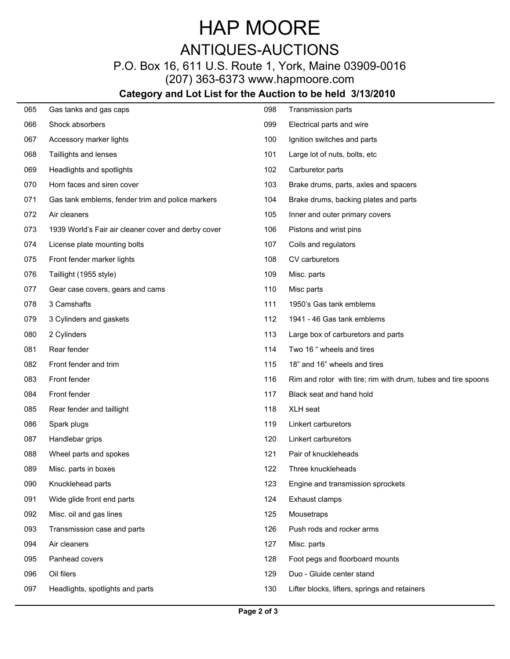## HAP MOORE ANTIQUES-AUCTIONS

P.O. Box 16, 611 U.S. Route 1, York, Maine 03909-0016

(207) 363-6373 www.hapmoore.com

#### **Category and Lot List for the Auction to be held 3/13/2010**

| 065 | Gas tanks and gas caps                              | 098 | Transmission parts                                            |
|-----|-----------------------------------------------------|-----|---------------------------------------------------------------|
| 066 | Shock absorbers                                     | 099 | Electrical parts and wire                                     |
| 067 | Accessory marker lights                             | 100 | Ignition switches and parts                                   |
| 068 | Taillights and lenses                               | 101 | Large lot of nuts, bolts, etc                                 |
| 069 | Headlights and spotlights                           | 102 | Carburetor parts                                              |
| 070 | Horn faces and siren cover                          | 103 | Brake drums, parts, axles and spacers                         |
| 071 | Gas tank emblems, fender trim and police markers    | 104 | Brake drums, backing plates and parts                         |
| 072 | Air cleaners                                        | 105 | Inner and outer primary covers                                |
| 073 | 1939 World's Fair air cleaner cover and derby cover | 106 | Pistons and wrist pins                                        |
| 074 | License plate mounting bolts                        | 107 | Coils and regulators                                          |
| 075 | Front fender marker lights                          | 108 | CV carburetors                                                |
| 076 | Taillight (1955 style)                              | 109 | Misc. parts                                                   |
| 077 | Gear case covers, gears and cams                    | 110 | Misc parts                                                    |
| 078 | 3 Camshafts                                         | 111 | 1950's Gas tank emblems                                       |
| 079 | 3 Cylinders and gaskets                             | 112 | 1941 - 46 Gas tank emblems                                    |
| 080 | 2 Cylinders                                         | 113 | Large box of carburetors and parts                            |
| 081 | Rear fender                                         | 114 | Two 16 " wheels and tires                                     |
| 082 | Front fender and trim                               | 115 | 18" and 16" wheels and tires                                  |
| 083 | Front fender                                        | 116 | Rim and rotor with tire; rim with drum, tubes and tire spoons |
| 084 | Front fender                                        | 117 | Black seat and hand hold                                      |
| 085 | Rear fender and taillight                           | 118 | XLH seat                                                      |
| 086 | Spark plugs                                         | 119 | Linkert carburetors                                           |
| 087 | Handlebar grips                                     | 120 | Linkert carburetors                                           |
| 088 | Wheel parts and spokes                              | 121 | Pair of knuckleheads                                          |
| 089 | Misc. parts in boxes                                | 122 | Three knuckleheads                                            |
| 090 | Knucklehead parts                                   | 123 | Engine and transmission sprockets                             |
| 091 | Wide glide front end parts                          | 124 | Exhaust clamps                                                |
| 092 | Misc. oil and gas lines                             | 125 | Mousetraps                                                    |
| 093 | Transmission case and parts                         | 126 | Push rods and rocker arms                                     |
| 094 | Air cleaners                                        | 127 | Misc. parts                                                   |
| 095 | Panhead covers                                      | 128 | Foot pegs and floorboard mounts                               |
| 096 | Oil filers                                          | 129 | Duo - Gluide center stand                                     |
| 097 | Headlights, spotlights and parts                    | 130 | Lifter blocks, lifters, springs and retainers                 |